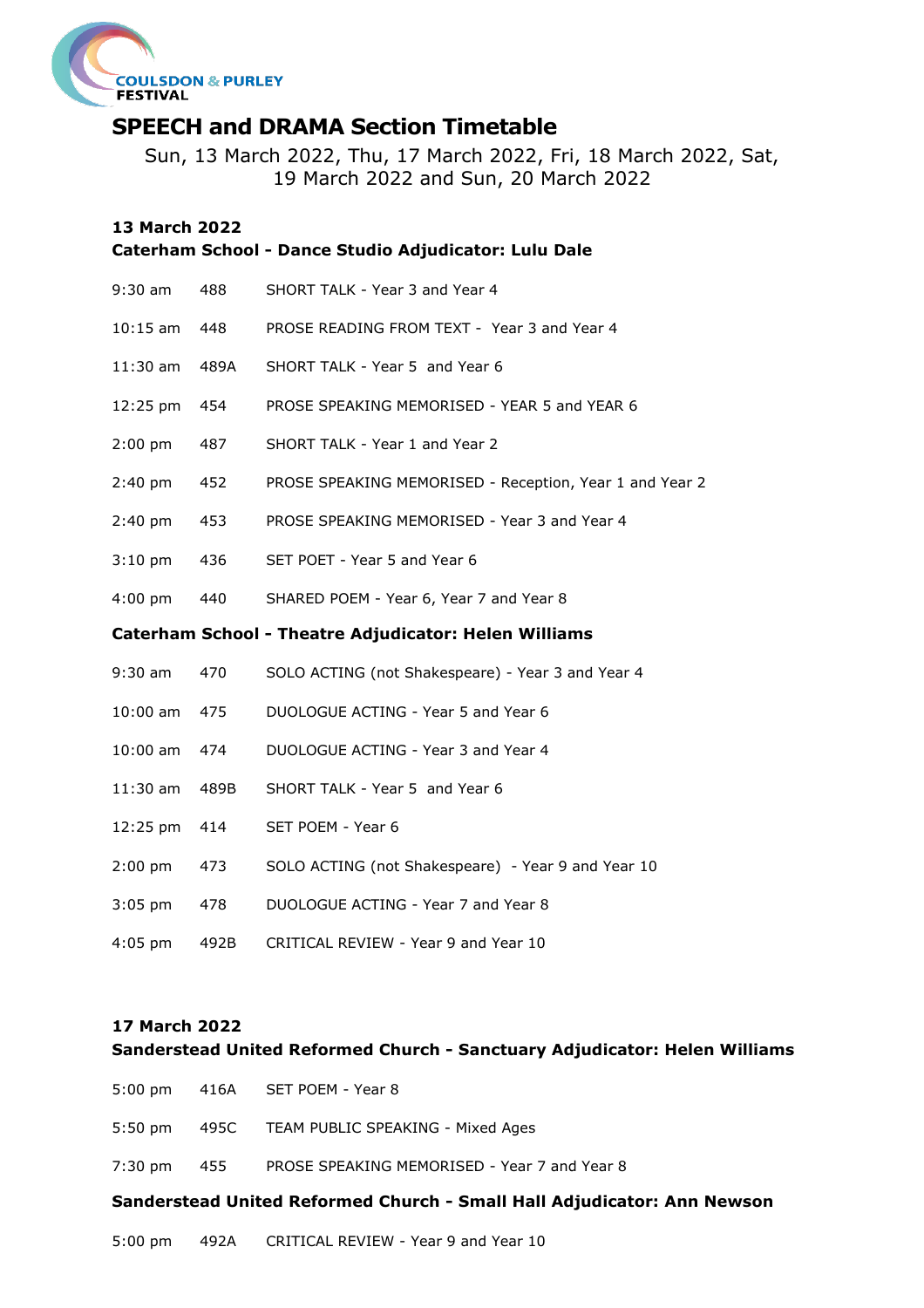

# **SPEECH and DRAMA Section Timetable**

Sun, 13 March 2022, Thu, 17 March 2022, Fri, 18 March 2022, Sat, 19 March 2022 and Sun, 20 March 2022

## **13 March 2022**

|                                                       |      | Caterham School - Dance Studio Adjudicator: Lulu Dale   |  |  |  |  |
|-------------------------------------------------------|------|---------------------------------------------------------|--|--|--|--|
| $9:30$ am                                             | 488  | SHORT TALK - Year 3 and Year 4                          |  |  |  |  |
| $10:15$ am                                            | 448  | PROSE READING FROM TEXT - Year 3 and Year 4             |  |  |  |  |
| $11:30$ am                                            | 489A | SHORT TALK - Year 5 and Year 6                          |  |  |  |  |
| 12:25 pm                                              | 454  | PROSE SPEAKING MEMORISED - YEAR 5 and YEAR 6            |  |  |  |  |
| $2:00$ pm                                             | 487  | SHORT TALK - Year 1 and Year 2                          |  |  |  |  |
| $2:40$ pm                                             | 452  | PROSE SPEAKING MEMORISED - Reception, Year 1 and Year 2 |  |  |  |  |
| $2:40$ pm                                             | 453  | PROSE SPEAKING MEMORISED - Year 3 and Year 4            |  |  |  |  |
| $3:10 \text{ pm}$                                     | 436  | SET POET - Year 5 and Year 6                            |  |  |  |  |
| $4:00$ pm                                             | 440  | SHARED POEM - Year 6, Year 7 and Year 8                 |  |  |  |  |
| Caterham School - Theatre Adjudicator: Helen Williams |      |                                                         |  |  |  |  |
| $9:30$ am                                             | 470  | SOLO ACTING (not Shakespeare) - Year 3 and Year 4       |  |  |  |  |
| $10:00$ am                                            | 475  | DUOLOGUE ACTING - Year 5 and Year 6                     |  |  |  |  |
| $10:00$ am                                            | 474  | DUOLOGUE ACTING - Year 3 and Year 4                     |  |  |  |  |
| 11:30 am                                              | 489B | SHORT TALK - Year 5 and Year 6                          |  |  |  |  |
| 12:25 pm                                              | 414  | SET POEM - Year 6                                       |  |  |  |  |
| $2:00$ pm                                             | 473  | SOLO ACTING (not Shakespeare) - Year 9 and Year 10      |  |  |  |  |
| $3:05$ pm                                             | 478  | DUOLOGUE ACTING - Year 7 and Year 8                     |  |  |  |  |
| $4:05$ pm                                             | 492B | CRITICAL REVIEW - Year 9 and Year 10                    |  |  |  |  |

## **17 March 2022**

**Sanderstead United Reformed Church - Sanctuary Adjudicator: Helen Williams**

- 5:00 pm 416A SET POEM Year 8
- 5:50 pm 495C TEAM PUBLIC SPEAKING Mixed Ages
- 7:30 pm 455 PROSE SPEAKING MEMORISED Year 7 and Year 8

## **Sanderstead United Reformed Church - Small Hall Adjudicator: Ann Newson**

5:00 pm 492A CRITICAL REVIEW - Year 9 and Year 10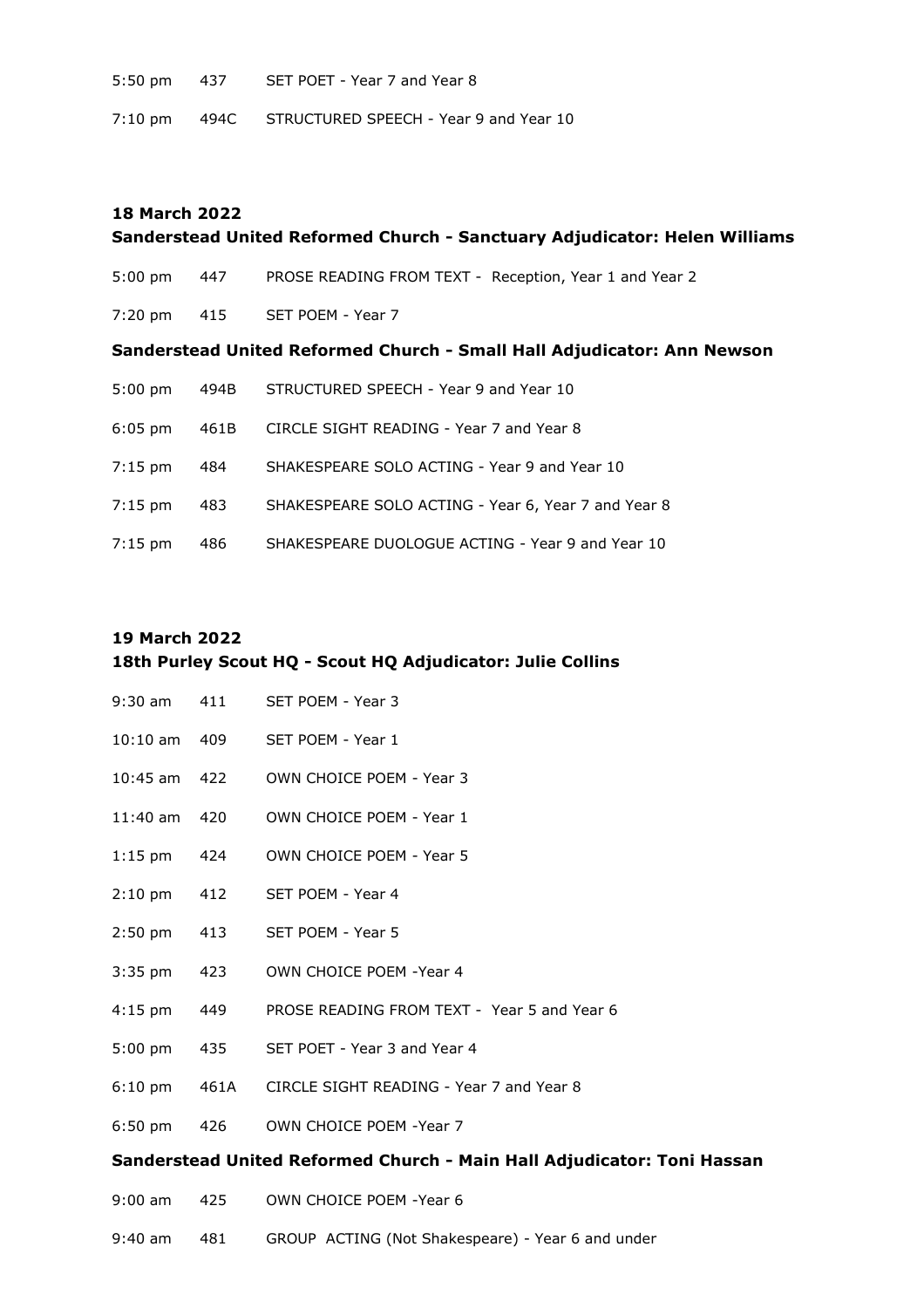5:50 pm 437 SET POET - Year 7 and Year 8

7:10 pm 494C STRUCTURED SPEECH - Year 9 and Year 10

# **18 March 2022 Sanderstead United Reformed Church - Sanctuary Adjudicator: Helen Williams** 5:00 pm 447 PROSE READING FROM TEXT - Reception, Year 1 and Year 2 7:20 pm 415 SET POEM - Year 7 **Sanderstead United Reformed Church - Small Hall Adjudicator: Ann Newson** 5:00 pm 494B STRUCTURED SPEECH - Year 9 and Year 10 6:05 pm 461B CIRCLE SIGHT READING - Year 7 and Year 8 7:15 pm 484 SHAKESPEARE SOLO ACTING - Year 9 and Year 10 7:15 pm 483 SHAKESPEARE SOLO ACTING - Year 6, Year 7 and Year 8 7:15 pm 486 SHAKESPEARE DUOLOGUE ACTING - Year 9 and Year 10

# **19 March 2022 18th Purley Scout HQ - Scout HQ Adjudicator: Julie Collins**

| $9:30 \text{ am}$ 411 |  | SET POEM - Year 3 |  |
|-----------------------|--|-------------------|--|
|-----------------------|--|-------------------|--|

- 10:10 am 409 SET POEM Year 1
- 10:45 am 422 OWN CHOICE POEM Year 3
- 11:40 am 420 OWN CHOICE POEM Year 1
- 1:15 pm 424 OWN CHOICE POEM Year 5
- 2:10 pm 412 SET POEM Year 4
- 2:50 pm 413 SET POEM Year 5
- 3:35 pm 423 OWN CHOICE POEM -Year 4
- 4:15 pm 449 PROSE READING FROM TEXT Year 5 and Year 6
- 5:00 pm 435 SET POET Year 3 and Year 4
- 6:10 pm 461A CIRCLE SIGHT READING Year 7 and Year 8
- 6:50 pm 426 OWN CHOICE POEM -Year 7

## **Sanderstead United Reformed Church - Main Hall Adjudicator: Toni Hassan**

- 9:00 am 425 OWN CHOICE POEM -Year 6
- 9:40 am 481 GROUP ACTING (Not Shakespeare) Year 6 and under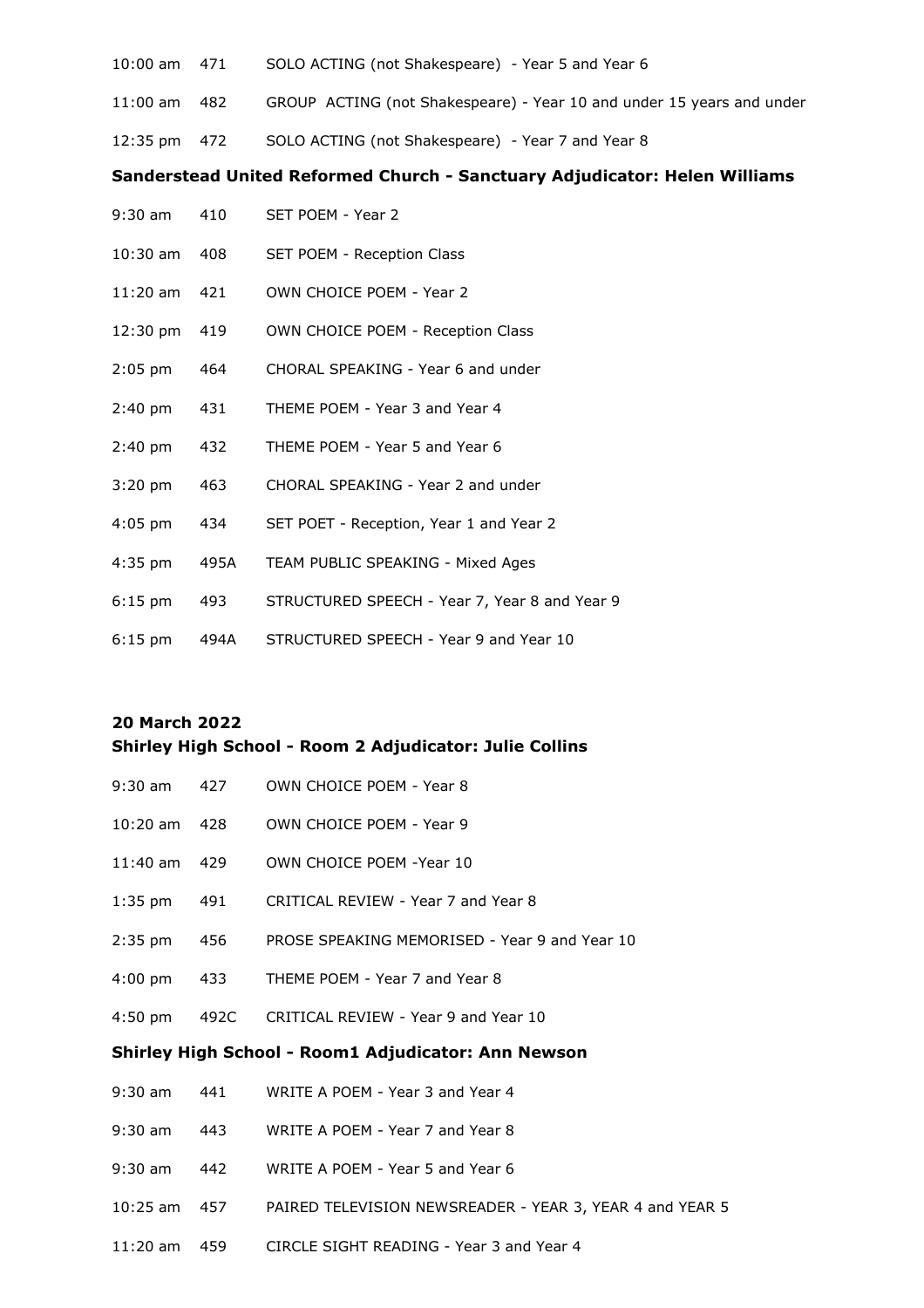- 10:00 am 471 SOLO ACTING (not Shakespeare) Year 5 and Year 6
- 11:00 am 482 GROUP ACTING (not Shakespeare) Year 10 and under 15 years and under
- 12:35 pm 472 SOLO ACTING (not Shakespeare) Year 7 and Year 8

#### **Sanderstead United Reformed Church - Sanctuary Adjudicator: Helen Williams**

- 9:30 am 410 SET POEM Year 2
- 10:30 am 408 SET POEM Reception Class
- 11:20 am 421 OWN CHOICE POEM Year 2
- 12:30 pm 419 OWN CHOICE POEM Reception Class
- 2:05 pm 464 CHORAL SPEAKING Year 6 and under
- 2:40 pm 431 THEME POEM Year 3 and Year 4
- 2:40 pm 432 THEME POEM Year 5 and Year 6
- 3:20 pm 463 CHORAL SPEAKING Year 2 and under
- 4:05 pm 434 SET POET Reception, Year 1 and Year 2
- 4:35 pm 495A TEAM PUBLIC SPEAKING Mixed Ages
- 6:15 pm 493 STRUCTURED SPEECH Year 7, Year 8 and Year 9
- 6:15 pm 494A STRUCTURED SPEECH Year 9 and Year 10

#### **20 March 2022**

## **Shirley High School - Room 2 Adjudicator: Julie Collins**

- 9:30 am 427 OWN CHOICE POEM Year 8 10:20 am 428 OWN CHOICE POEM - Year 9 11:40 am 429 OWN CHOICE POEM -Year 10 1:35 pm 491 CRITICAL REVIEW - Year 7 and Year 8 2:35 pm 456 PROSE SPEAKING MEMORISED - Year 9 and Year 10 4:00 pm 433 THEME POEM - Year 7 and Year 8 4:50 pm 492C CRITICAL REVIEW - Year 9 and Year 10 **Shirley High School - Room1 Adjudicator: Ann Newson** 9:30 am 441 WRITE A POEM - Year 3 and Year 4 9:30 am 443 WRITE A POEM - Year 7 and Year 8 9:30 am 442 WRITE A POEM - Year 5 and Year 6
- 10:25 am 457 PAIRED TELEVISION NEWSREADER YEAR 3, YEAR 4 and YEAR 5
- 11:20 am 459 CIRCLE SIGHT READING Year 3 and Year 4